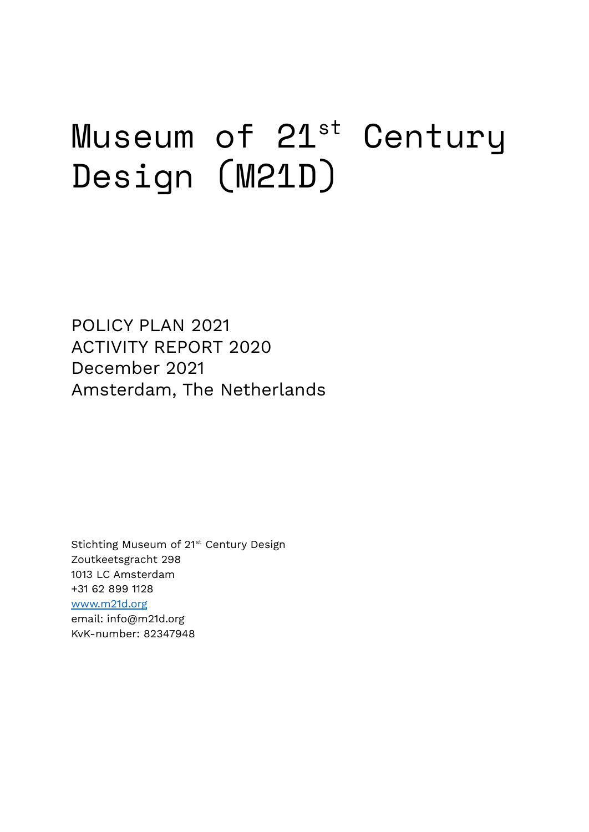# Museum of 21<sup>st</sup> Century Design (M21D)

POLICY PLAN 2021 ACTIVITY REPORT 2020 December 2021 Amsterdam, The Netherlands

Stichting Museum of 21<sup>st</sup> Century Design Zoutkeetsgracht 298 1013 LC Amsterdam +31 62 899 1128 [www.m21d.org](http://www.m21d.org) email: info@m21d.org KvK-number: 82347948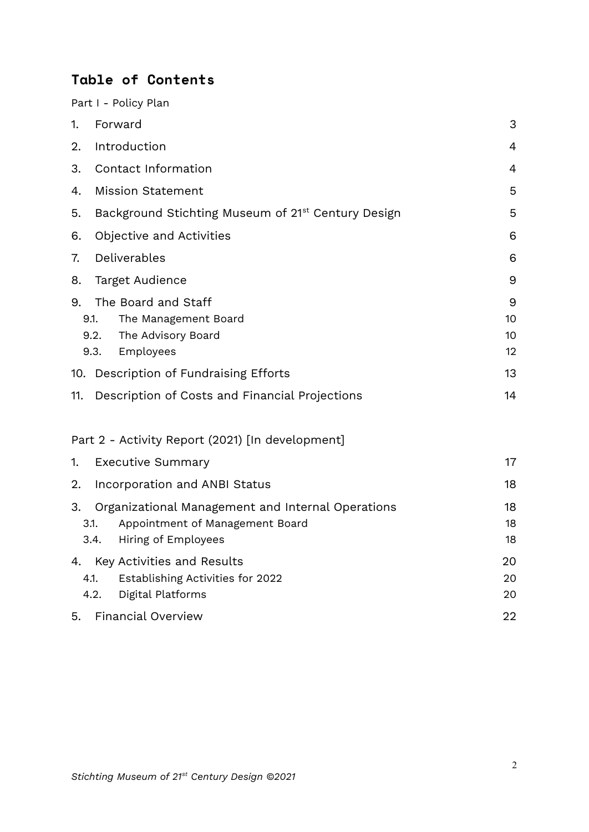# **Table of Contents**

Part I - Policy Plan

| 1.                         | Forward                                                                                                     | 3                   |
|----------------------------|-------------------------------------------------------------------------------------------------------------|---------------------|
| 2.                         | Introduction                                                                                                | 4                   |
| 3.                         | Contact Information                                                                                         |                     |
| 4.                         | <b>Mission Statement</b>                                                                                    |                     |
| 5.                         | Background Stichting Museum of 21 <sup>st</sup> Century Design<br>5                                         |                     |
| 6.                         | Objective and Activities<br>6                                                                               |                     |
| 7.                         | Deliverables<br>6                                                                                           |                     |
| 8.                         | <b>Target Audience</b>                                                                                      | 9                   |
| 9.<br>9.1.<br>9.2.<br>9.3. | The Board and Staff<br>The Management Board<br>The Advisory Board<br>Employees                              | 9<br>10<br>10<br>12 |
|                            | 10. Description of Fundraising Efforts                                                                      | 13                  |
| 11.                        | Description of Costs and Financial Projections                                                              | 14                  |
|                            | Part 2 - Activity Report (2021) [In development]                                                            |                     |
| 1.                         | <b>Executive Summary</b>                                                                                    | 17                  |
| 2.                         | Incorporation and ANBI Status                                                                               | 18                  |
| 3.<br>3.1.<br>3.4.         | Organizational Management and Internal Operations<br>Appointment of Management Board<br>Hiring of Employees | 18<br>18<br>18      |
| 4.1.<br>4.2.               | 4. Key Activities and Results<br>Establishing Activities for 2022<br>Digital Platforms                      | 20<br>20<br>20      |
| 5.                         | <b>Financial Overview</b>                                                                                   | 22                  |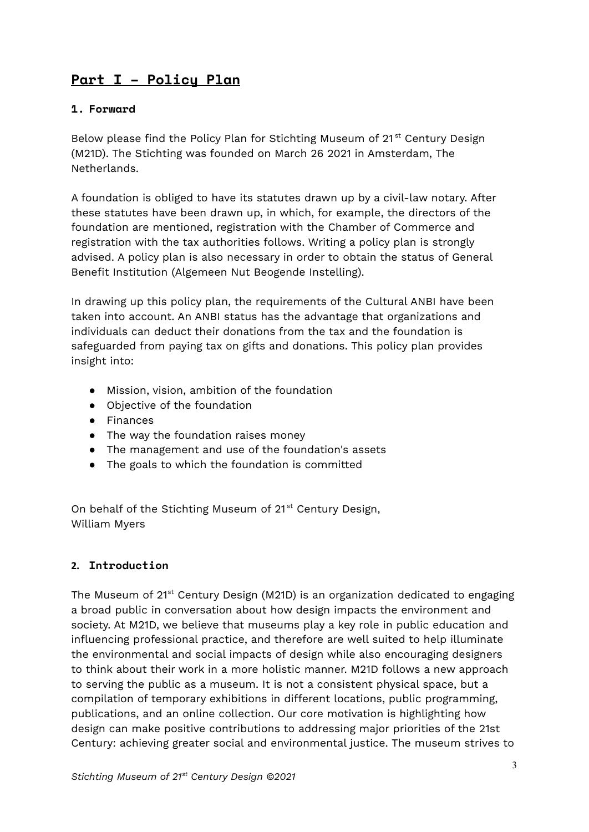# **Part I – Policy Plan**

## <span id="page-2-0"></span>**1. Forward**

Below please find the Policy Plan for Stichting Museum of 21<sup>st</sup> Century Design (M21D). The Stichting was founded on March 26 2021 in Amsterdam, The Netherlands.

A foundation is obliged to have its statutes drawn up by a civil-law notary. After these statutes have been drawn up, in which, for example, the directors of the foundation are mentioned, registration with the Chamber of Commerce and registration with the tax authorities follows. Writing a policy plan is strongly advised. A policy plan is also necessary in order to obtain the status of General Benefit Institution (Algemeen Nut Beogende Instelling).

In drawing up this policy plan, the requirements of the Cultural ANBI have been taken into account. An ANBI status has the advantage that organizations and individuals can deduct their donations from the tax and the foundation is safeguarded from paying tax on gifts and donations. This policy plan provides insight into:

- Mission, vision, ambition of the foundation
- Objective of the foundation
- Finances
- The way the foundation raises money
- The management and use of the foundation's assets
- The goals to which the foundation is committed

On behalf of the Stichting Museum of 21<sup>st</sup> Century Design, William Myers

#### <span id="page-2-1"></span>**2. Introduction**

The Museum of 21<sup>st</sup> Century Design (M21D) is an organization dedicated to engaging a broad public in conversation about how design impacts the environment and society. At M21D, we believe that museums play a key role in public education and influencing professional practice, and therefore are well suited to help illuminate the environmental and social impacts of design while also encouraging designers to think about their work in a more holistic manner. M21D follows a new approach to serving the public as a museum. It is not a consistent physical space, but a compilation of temporary exhibitions in different locations, public programming, publications, and an online collection. Our core motivation is highlighting how design can make positive contributions to addressing major priorities of the 21st Century: achieving greater social and environmental justice. The museum strives to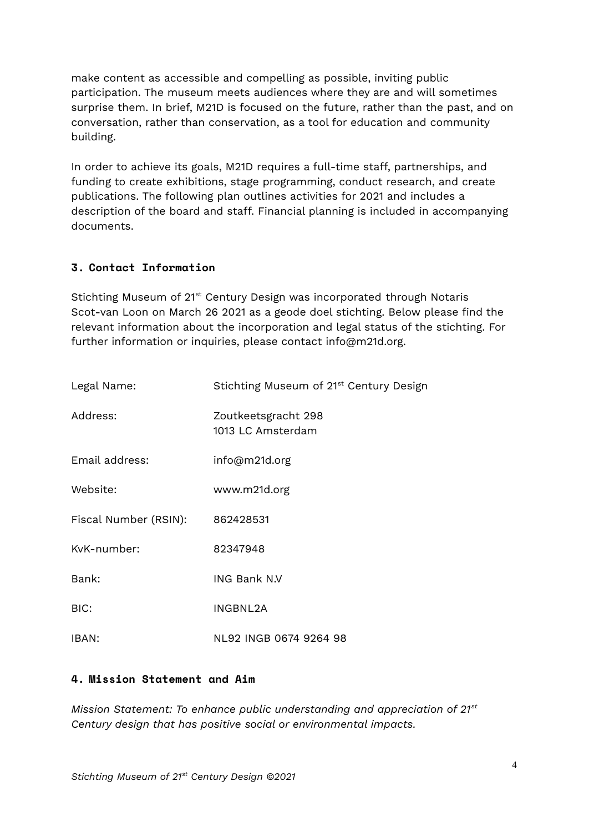make content as accessible and compelling as possible, inviting public participation. The museum meets audiences where they are and will sometimes surprise them. In brief, M21D is focused on the future, rather than the past, and on conversation, rather than conservation, as a tool for education and community building.

In order to achieve its goals, M21D requires a full-time staff, partnerships, and funding to create exhibitions, stage programming, conduct research, and create publications. The following plan outlines activities for 2021 and includes a description of the board and staff. Financial planning is included in accompanying documents.

#### <span id="page-3-0"></span>**3. Contact Information**

Stichting Museum of 21<sup>st</sup> Century Design was incorporated through Notaris Scot-van Loon on March 26 2021 as a geode doel stichting. Below please find the relevant information about the incorporation and legal status of the stichting. For further information or inquiries, please contact info@m21d.org.

| Legal Name:           | Stichting Museum of 21 <sup>st</sup> Century Design |  |
|-----------------------|-----------------------------------------------------|--|
| Address:              | Zoutkeetsgracht 298<br>1013 LC Amsterdam            |  |
| Email address:        | info@m21d.org                                       |  |
| Website:              | www.m21d.org                                        |  |
| Fiscal Number (RSIN): | 862428531                                           |  |
| KvK-number:           | 82347948                                            |  |
| Bank:                 | ING Bank N.V                                        |  |
| BIC:                  | INGBNL2A                                            |  |
| IBAN:                 | NL92 INGB 0674 9264 98                              |  |

#### <span id="page-3-1"></span>**4. Mission Statement and Aim**

*Mission Statement: To enhance public understanding and appreciation of 21 st Century design that has positive social or environmental impacts.*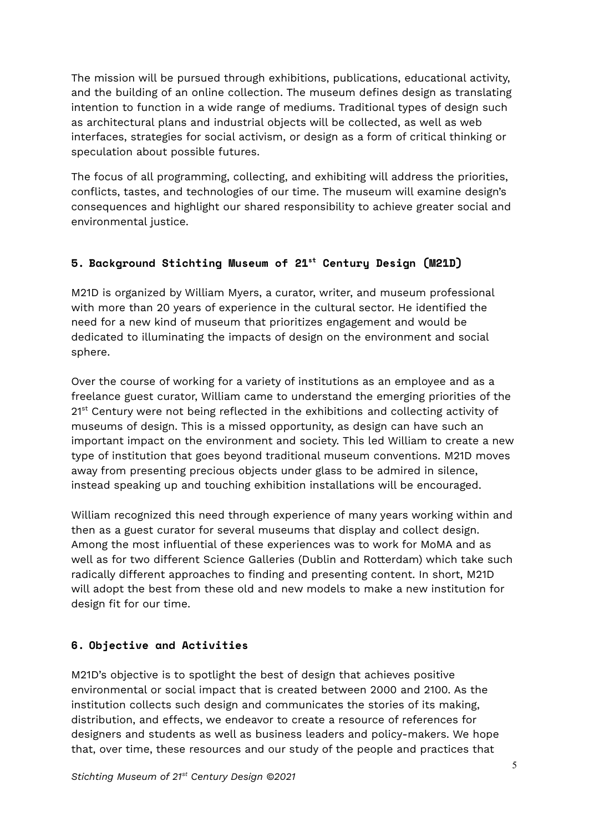The mission will be pursued through exhibitions, publications, educational activity, and the building of an online collection. The museum defines design as translating intention to function in a wide range of mediums. Traditional types of design such as architectural plans and industrial objects will be collected, as well as web interfaces, strategies for social activism, or design as a form of critical thinking or speculation about possible futures.

The focus of all programming, collecting, and exhibiting will address the priorities, conflicts, tastes, and technologies of our time. The museum will examine design's consequences and highlight our shared responsibility to achieve greater social and environmental justice.

# <span id="page-4-0"></span>**5. Background Stichting Museum of 21 st Century Design (M21D)**

M21D is organized by William Myers, a curator, writer, and museum professional with more than 20 years of experience in the cultural sector. He identified the need for a new kind of museum that prioritizes engagement and would be dedicated to illuminating the impacts of design on the environment and social sphere.

Over the course of working for a variety of institutions as an employee and as a freelance guest curator, William came to understand the emerging priorities of the 21<sup>st</sup> Century were not being reflected in the exhibitions and collecting activity of museums of design. This is a missed opportunity, as design can have such an important impact on the environment and society. This led William to create a new type of institution that goes beyond traditional museum conventions. M21D moves away from presenting precious objects under glass to be admired in silence, instead speaking up and touching exhibition installations will be encouraged.

William recognized this need through experience of many years working within and then as a guest curator for several museums that display and collect design. Among the most influential of these experiences was to work for MoMA and as well as for two different Science Galleries (Dublin and Rotterdam) which take such radically different approaches to finding and presenting content. In short, M21D will adopt the best from these old and new models to make a new institution for design fit for our time.

# <span id="page-4-1"></span>**6. Objective and Activities**

M21D's objective is to spotlight the best of design that achieves positive environmental or social impact that is created between 2000 and 2100. As the institution collects such design and communicates the stories of its making, distribution, and effects, we endeavor to create a resource of references for designers and students as well as business leaders and policy-makers. We hope that, over time, these resources and our study of the people and practices that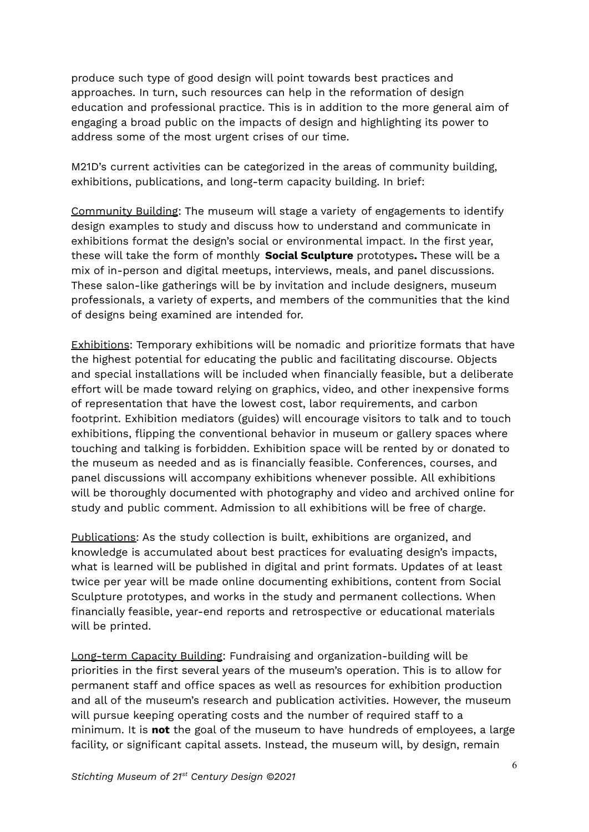produce such type of good design will point towards best practices and approaches. In turn, such resources can help in the reformation of design education and professional practice. This is in addition to the more general aim of engaging a broad public on the impacts of design and highlighting its power to address some of the most urgent crises of our time.

M21D's current activities can be categorized in the areas of community building, exhibitions, publications, and long-term capacity building. In brief:

Community Building: The museum will stage a variety of engagements to identify design examples to study and discuss how to understand and communicate in exhibitions format the design's social or environmental impact. In the first year, these will take the form of monthly **Social Sculpture** prototypes**.** These will be a mix of in-person and digital meetups, interviews, meals, and panel discussions. These salon-like gatherings will be by invitation and include designers, museum professionals, a variety of experts, and members of the communities that the kind of designs being examined are intended for.

Exhibitions: Temporary exhibitions will be nomadic and prioritize formats that have the highest potential for educating the public and facilitating discourse. Objects and special installations will be included when financially feasible, but a deliberate effort will be made toward relying on graphics, video, and other inexpensive forms of representation that have the lowest cost, labor requirements, and carbon footprint. Exhibition mediators (guides) will encourage visitors to talk and to touch exhibitions, flipping the conventional behavior in museum or gallery spaces where touching and talking is forbidden. Exhibition space will be rented by or donated to the museum as needed and as is financially feasible. Conferences, courses, and panel discussions will accompany exhibitions whenever possible. All exhibitions will be thoroughly documented with photography and video and archived online for study and public comment. Admission to all exhibitions will be free of charge.

Publications: As the study collection is built, exhibitions are organized, and knowledge is accumulated about best practices for evaluating design's impacts, what is learned will be published in digital and print formats. Updates of at least twice per year will be made online documenting exhibitions, content from Social Sculpture prototypes, and works in the study and permanent collections. When financially feasible, year-end reports and retrospective or educational materials will be printed.

Long-term Capacity Building: Fundraising and organization-building will be priorities in the first several years of the museum's operation. This is to allow for permanent staff and office spaces as well as resources for exhibition production and all of the museum's research and publication activities. However, the museum will pursue keeping operating costs and the number of required staff to a minimum. It is **not** the goal of the museum to have hundreds of employees, a large facility, or significant capital assets. Instead, the museum will, by design, remain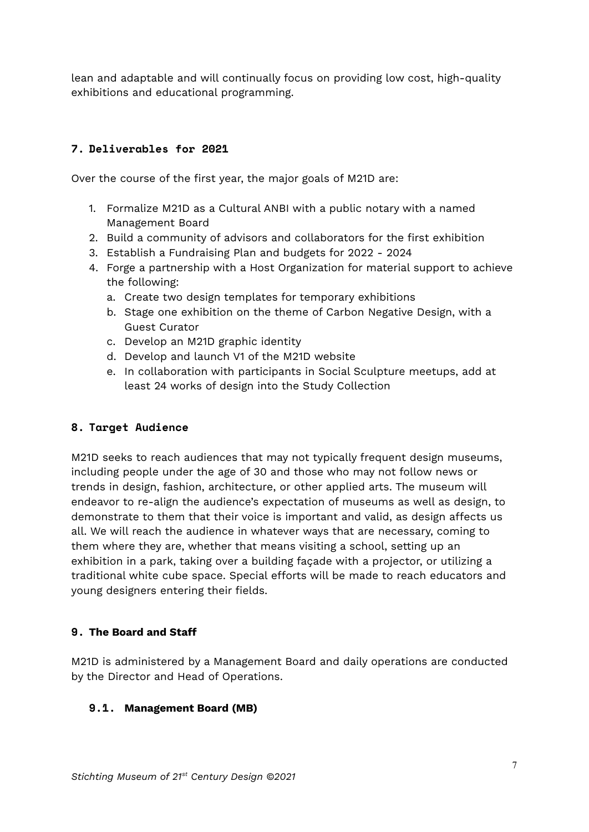lean and adaptable and will continually focus on providing low cost, high-quality exhibitions and educational programming.

## <span id="page-6-0"></span>**7. Deliverables for 2021**

Over the course of the first year, the major goals of M21D are:

- 1. Formalize M21D as a Cultural ANBI with a public notary with a named Management Board
- 2. Build a community of advisors and collaborators for the first exhibition
- 3. Establish a Fundraising Plan and budgets for 2022 2024
- 4. Forge a partnership with a Host Organization for material support to achieve the following:
	- a. Create two design templates for temporary exhibitions
	- b. Stage one exhibition on the theme of Carbon Negative Design, with a Guest Curator
	- c. Develop an M21D graphic identity
	- d. Develop and launch V1 of the M21D website
	- e. In collaboration with participants in Social Sculpture meetups, add at least 24 works of design into the Study Collection

#### <span id="page-6-1"></span>**8. Target Audience**

M21D seeks to reach audiences that may not typically frequent design museums, including people under the age of 30 and those who may not follow news or trends in design, fashion, architecture, or other applied arts. The museum will endeavor to re-align the audience's expectation of museums as well as design, to demonstrate to them that their voice is important and valid, as design affects us all. We will reach the audience in whatever ways that are necessary, coming to them where they are, whether that means visiting a school, setting up an exhibition in a park, taking over a building façade with a projector, or utilizing a traditional white cube space. Special efforts will be made to reach educators and young designers entering their fields.

#### <span id="page-6-2"></span>**9. The Board and Staff**

M21D is administered by a Management Board and daily operations are conducted by the Director and Head of Operations.

#### **9.1. Management Board (MB)**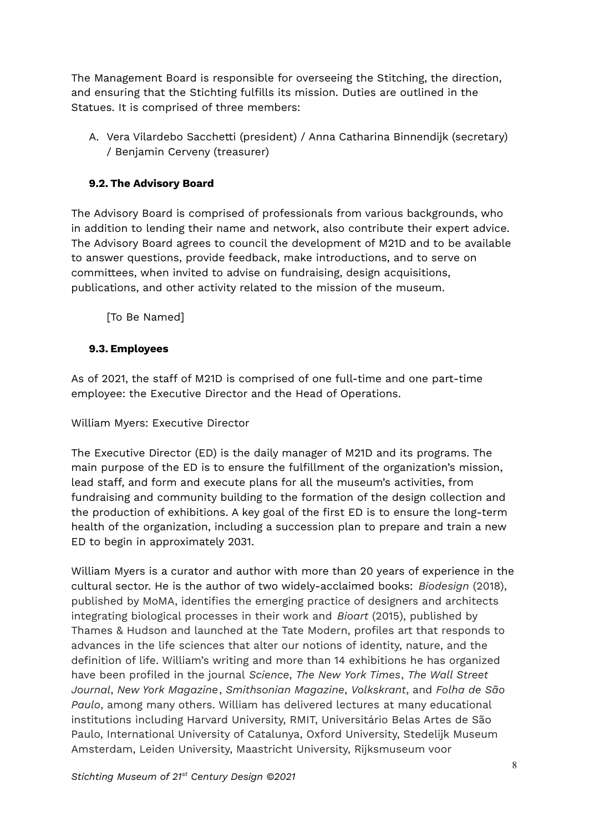The Management Board is responsible for overseeing the Stitching, the direction, and ensuring that the Stichting fulfills its mission. Duties are outlined in the Statues. It is comprised of three members:

A. Vera Vilardebo Sacchetti (president) / Anna Catharina Binnendijk (secretary) / Benjamin Cerveny (treasurer)

## <span id="page-7-0"></span>**9.2. The Advisory Board**

The Advisory Board is comprised of professionals from various backgrounds, who in addition to lending their name and network, also contribute their expert advice. The Advisory Board agrees to council the development of M21D and to be available to answer questions, provide feedback, make introductions, and to serve on committees, when invited to advise on fundraising, design acquisitions, publications, and other activity related to the mission of the museum.

[To Be Named]

#### <span id="page-7-1"></span>**9.3. Employees**

As of 2021, the staff of M21D is comprised of one full-time and one part-time employee: the Executive Director and the Head of Operations.

William Myers: Executive Director

The Executive Director (ED) is the daily manager of M21D and its programs. The main purpose of the ED is to ensure the fulfillment of the organization's mission, lead staff, and form and execute plans for all the museum's activities, from fundraising and community building to the formation of the design collection and the production of exhibitions. A key goal of the first ED is to ensure the long-term health of the organization, including a succession plan to prepare and train a new ED to begin in approximately 2031.

William Myers is a curator and author with more than 20 years of experience in the cultural sector. He is the author of two widely-acclaimed books: *Biodesign* (2018), published by MoMA, identifies the emerging practice of designers and architects integrating biological processes in their work and *Bioart* (2015), published by Thames & Hudson and launched at the Tate Modern, profiles art that responds to advances in the life sciences that alter our notions of identity, nature, and the definition of life. William's writing and more than 14 exhibitions he has organized have been profiled in the journal *Science*, *The New York Times*, *The Wall Street Journal*, *New York Magazine*, *Smithsonian Magazine*, *Volkskrant*, and *Folha de São Paulo*, among many others. William has delivered lectures at many educational institutions including Harvard University, RMIT, Universitário Belas Artes de São Paulo, International University of Catalunya, Oxford University, Stedelijk Museum Amsterdam, Leiden University, Maastricht University, Rijksmuseum voor